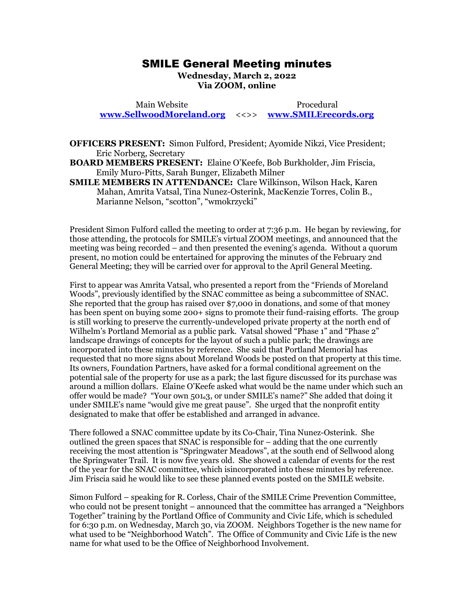## SMILE General Meeting minutes SMILE General Meeting minutes

Wednesday, March 2, 2022 **Wednesday, March 2, 2022**  Via ZOOM, online **Via ZOOM, online**

Main Website Procedural Main Website Procedural [www.SellwoodMoreland.org](http://www.sellwoodmoreland.org/) <<>> [www.SMILErecords.org](http://www.smilerecords.org/)  **www.SellwoodMoreland.org** <<>> **www.SMILErecords.org**

OFFICERS PRESENT: Simon Fulford, President; Ayomide Nikzi, Vice President; **OFFICERS PRESENT:** Simon Fulford, President; Ayomide Nikzi, Vice President; Eric Norberg, Secretary Eric Norberg, Secretary

BOARD MEMBERS PRESENT: Elaine O'Keefe, Bob Burkholder, Jim Friscia, **BOARD MEMBERS PRESENT:** Elaine O'Keefe, Bob Burkholder, Jim Friscia, Emily Muro-Pitts, Sarah Bunger, Elizabeth Milner

SMILE MEMBERS INATTENDANCE: Clare Wilkinson, Wilson Hack, Karen Emily Muro-Pitts, Sarah Bunger, Elizabeth Milner **SMILE MEMBERS IN ATTENDANCE:** Clare Wilkinson, Wilson Hack, Karen Mahan, Amrita Vatsal, Tina Nunez-Osterink, MacKenzie Torres, Colin B.,<br>Marianne Nelson, "scotton", "wmokrzycki" Marianne Nelson, "scotton", "wmokrzycki"

President Simon Fulford called the meeting to order at 7:36 p.m. He began by reviewing, for President Simon Fulford called the meeting to order at 7:36 p.m. He began by reviewing, for those attending, the protocols for SMILE's virtual ZOOM meetings, and announced that the meeting was being recorded — and then presented the evening's agenda. Without a quorum present, no motion could be entertained for approving the minutes of the February 2nd General Meeting; they will be carried over for approval to the April General Meeting. meeting was being recorded – and then presented the evening's agenda. Without a quorum<br>present, no motion could be entertained for approving the minutes of the February 2nd<br>General Meeting; they will be carried over for ap

First to appear was Amrita Vatsal, who presented a report from the "Friends of Moreland Woods", previously identified by the SNAC committee as being a subcommittee of SNAC. Woods", previously identified by the SNAC committee as being a subcommittee of SNAC. She reported that the group has raised over \$7,000 in donations, and some of that money She reported that the group has raised over \$7,000 in donations, and some of that money has been spent on buying some 200+ signs to promote their fund-raising efforts. The group is still working to preserve the currently-undeveloped private property at the north end of Wilhelm's Portland Memorial as a public park. Vatsal showed "Phase 1" and "Phase 2" landscape drawings of concepts for the layout of such a public park; the drawings are landscape drawings of concepts for the layout of such a public park; the drawings are incorporated into these minutes by reference. She said that Portland Memorial has incorporated into these minutes by reference. She said that Portland Memorial has requested that no more signs about Moreland Woods be posted on that property at this time. requested that no more signs about Moreland Woods be posted on that property at this time. Its owners, Foundation Partners, have asked for a formal conditional agreement on the Its owners, Foundation Partners, have asked for a formal conditional agreement on the potential sale of the property for use as a park; the last figure discussed for its purchase was potential sale of the property for use as a park; the last figure discussed for its purchase was around a million dollars. Elaine O'Keefe asked what would be the name under which such an around a million dollars. Elaine O'Keefe asked what would be the name under which such an offer would be made? "Your own 501.3, or under SMILE's name?" She added that doing it under SMILE's name "would give me great pause". She urged that the nonprofit entity under SMILE's name "would give me great pause". She urged that the nonprofit entity designated to make that offer be established and arranged in advance. has been spent on buying some 200+ signs to promote their fund-raising efforts. The group<br>is still working to preserve the currently-undeveloped private property at the north end of<br>Wilhelm's Portland Memorial as a public

designated to make that offer be established and arranged in advance.<br>There followed a SNAC committee update by its Co-Chair, Tina Nunez-Osterink. She outlined the green spaces that SNAC is responsible for - adding that the one currently receiving the most attention is "Springwater Meadows", at the south end of Sellwood along receiving the most attention is "Springwater Meadows", at the south end of Sellwood along<br>the Springwater Trail. It is now five years old. She showed a calendar of events for the rest of the year for the SNAC committee, which isincorporated into these minutes by reference. of the year for the SNAC committee, which isincorporated into these minutes by reference. Jim Friscia said he would like to see these planned events posted on the SMILE website. Jim Friscia said he would like to see these planned events posted on the SMILE website.

Simon Fulford - speaking for R. Corless, Chair of the SMILE Crime Prevention Committee, Simon Fulford – speaking for R. Corless, Chair of the SMILE Crime Prevention Committee, who could not be present tonight – announced that the committee has arranged a "Neighbors" Together" training by the Portland Office of Community and Civic Life, which is scheduled for 6:3o p.m. on Wednesday, March 3o, via ZOOM. Neighbors Together is the new name for what used to be "Neighborhood Watch". The Office of Community and Civic Life is the new name for what used to be the Office of Neighborhood Involvement. name for what used to be the Office of Neighborhood Involvement. who could not be present tonight – announced that the committee has arranged a "Neighbors<br>Together" training by the Portland Office of Community and Civic Life, which is scheduled<br>for 6:30 p.m. on Wednesday, March 30, via